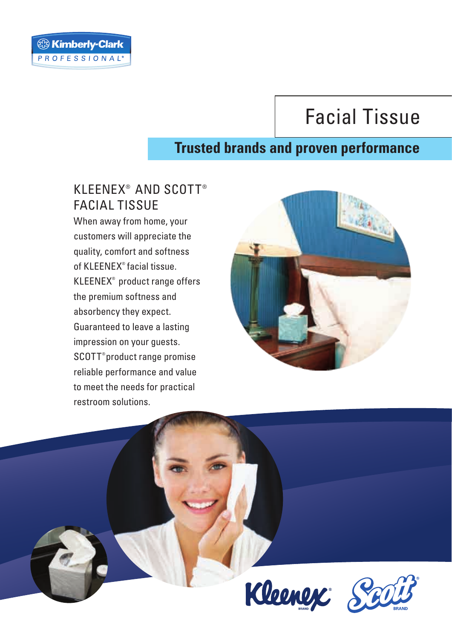# Facial Tissue

## **Trusted brands and proven performance**

### KLEENEX<sup>®</sup> AND SCOTT® FACIAL TISSUE

When away from home, your customers will appreciate the quality, comfort and softness of KLEENEX<sup>®</sup> facial tissue.  $KLEENEX<sup>®</sup>$  product range offers the premium softness and absorbency they expect. Guaranteed to leave a lasting impression on your guests. SCOTT<sup>®</sup> product range promise reliable performance and value to meet the needs for practical restroom solutions.